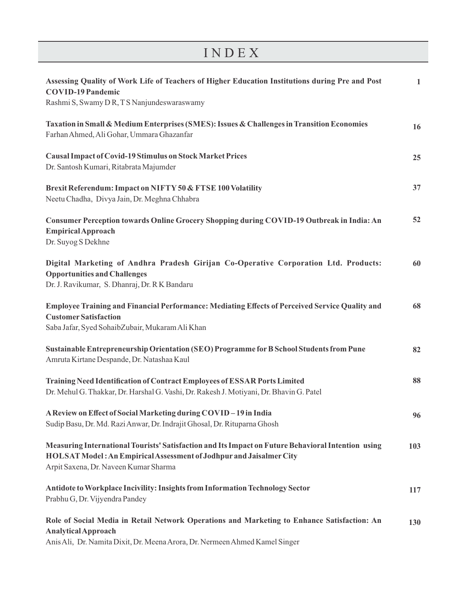| INDEX                                                                                                                                                                                                              |              |
|--------------------------------------------------------------------------------------------------------------------------------------------------------------------------------------------------------------------|--------------|
| Assessing Quality of Work Life of Teachers of Higher Education Institutions during Pre and Post<br><b>COVID-19 Pandemic</b><br>Rashmi S, Swamy D R, T S Nanjundeswaraswamy                                         | $\mathbf{1}$ |
| Taxation in Small & Medium Enterprises (SMES): Issues & Challenges in Transition Economies<br>Farhan Ahmed, Ali Gohar, Ummara Ghazanfar                                                                            | 16           |
| <b>Causal Impact of Covid-19 Stimulus on Stock Market Prices</b><br>Dr. Santosh Kumari, Ritabrata Majumder                                                                                                         | 25           |
| Brexit Referendum: Impact on NIFTY 50 & FTSE 100 Volatility<br>Neetu Chadha, Divya Jain, Dr. Meghna Chhabra                                                                                                        | 37           |
| Consumer Perception towards Online Grocery Shopping during COVID-19 Outbreak in India: An<br><b>Empirical Approach</b><br>Dr. Suyog S Dekhne                                                                       | 52           |
| Digital Marketing of Andhra Pradesh Girijan Co-Operative Corporation Ltd. Products:<br><b>Opportunities and Challenges</b><br>Dr. J. Ravikumar, S. Dhanraj, Dr. R K Bandaru                                        | 60           |
| Employee Training and Financial Performance: Mediating Effects of Perceived Service Quality and<br><b>Customer Satisfaction</b><br>Saba Jafar, Syed SohaibZubair, Mukaram Ali Khan                                 | 68           |
| Sustainable Entrepreneurship Orientation (SEO) Programme for B School Students from Pune<br>Amruta Kirtane Despande, Dr. Natashaa Kaul                                                                             | 82           |
| Training Need Identification of Contract Employees of ESSAR Ports Limited<br>Dr. Mehul G. Thakkar, Dr. Harshal G. Vashi, Dr. Rakesh J. Motiyani, Dr. Bhavin G. Patel                                               | 88           |
| A Review on Effect of Social Marketing during COVID-19 in India<br>Sudip Basu, Dr. Md. Razi Anwar, Dr. Indrajit Ghosal, Dr. Rituparna Ghosh                                                                        | 96           |
| Measuring International Tourists' Satisfaction and Its Impact on Future Behavioral Intention using<br>HOLSAT Model: An Empirical Assessment of Jodhpur and Jaisalmer City<br>Arpit Saxena, Dr. Naveen Kumar Sharma | 103          |
| Antidote to Workplace Incivility: Insights from Information Technology Sector<br>Prabhu G, Dr. Vijyendra Pandey                                                                                                    | 117          |
| Role of Social Media in Retail Network Operations and Marketing to Enhance Satisfaction: An<br><b>Analytical Approach</b><br>Anis Ali, Dr. Namita Dixit, Dr. Meena Arora, Dr. Nermeen Ahmed Kamel Singer           | 130          |